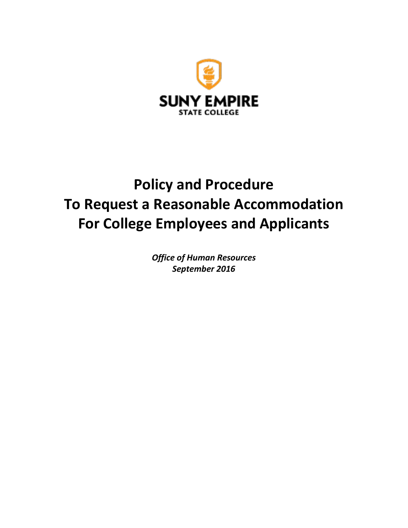

# **Policy and Procedure To Request a Reasonable Accommodation For College Employees and Applicants**

*Office of Human Resources September 2016*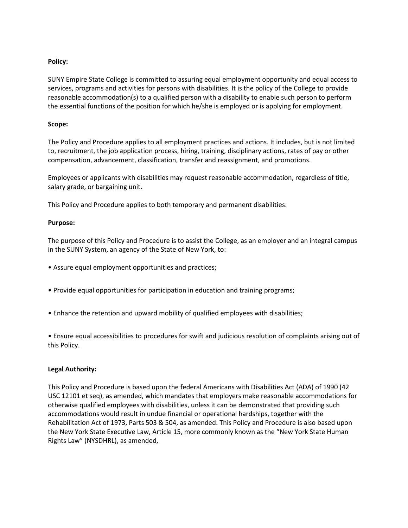## **Policy:**

SUNY Empire State College is committed to assuring equal employment opportunity and equal access to services, programs and activities for persons with disabilities. It is the policy of the College to provide reasonable accommodation(s) to a qualified person with a disability to enable such person to perform the essential functions of the position for which he/she is employed or is applying for employment.

#### **Scope:**

The Policy and Procedure applies to all employment practices and actions. It includes, but is not limited to, recruitment, the job application process, hiring, training, disciplinary actions, rates of pay or other compensation, advancement, classification, transfer and reassignment, and promotions.

Employees or applicants with disabilities may request reasonable accommodation, regardless of title, salary grade, or bargaining unit.

This Policy and Procedure applies to both temporary and permanent disabilities.

## **Purpose:**

The purpose of this Policy and Procedure is to assist the College, as an employer and an integral campus in the SUNY System, an agency of the State of New York, to:

- Assure equal employment opportunities and practices;
- Provide equal opportunities for participation in education and training programs;
- Enhance the retention and upward mobility of qualified employees with disabilities;

• Ensure equal accessibilities to procedures for swift and judicious resolution of complaints arising out of this Policy.

# **Legal Authority:**

This Policy and Procedure is based upon the federal Americans with Disabilities Act (ADA) of 1990 (42 USC 12101 et seq), as amended, which mandates that employers make reasonable accommodations for otherwise qualified employees with disabilities, unless it can be demonstrated that providing such accommodations would result in undue financial or operational hardships, together with the Rehabilitation Act of 1973, Parts 503 & 504, as amended. This Policy and Procedure is also based upon the New York State Executive Law, Article 15, more commonly known as the "New York State Human Rights Law" (NYSDHRL), as amended,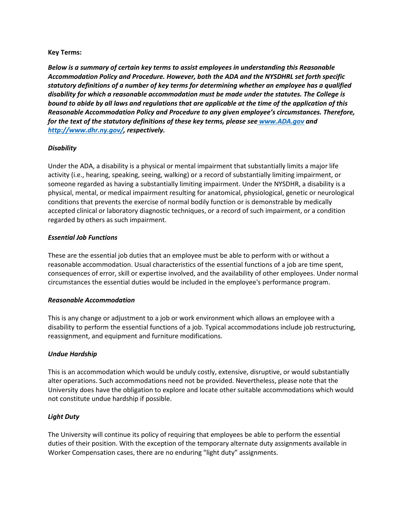## **Key Terms:**

*Below is a summary of certain key terms to assist employees in understanding this Reasonable Accommodation Policy and Procedure. However, both the ADA and the NYSDHRL set forth specific statutory definitions of a number of key terms for determining whether an employee has a qualified disability for which a reasonable accommodation must be made under the statutes. The College is bound to abide by all laws and regulations that are applicable at the time of the application of this Reasonable Accommodation Policy and Procedure to any given employee's circumstances. Therefore, for the text of the statutory definitions of these key terms, please see [www.ADA.gov](https://www.ada.gov/) and [http://www.dhr.ny.gov/,](http://www.dhr.ny.gov/) respectively.* 

## *Disability*

Under the ADA, a disability is a physical or mental impairment that substantially limits a major life activity (i.e., hearing, speaking, seeing, walking) or a record of substantially limiting impairment, or someone regarded as having a substantially limiting impairment. Under the NYSDHR, a disability is a physical, mental, or medical impairment resulting for anatomical, physiological, genetic or neurological conditions that prevents the exercise of normal bodily function or is demonstrable by medically accepted clinical or laboratory diagnostic techniques, or a record of such impairment, or a condition regarded by others as such impairment.

## *Essential Job Functions*

These are the essential job duties that an employee must be able to perform with or without a reasonable accommodation. Usual characteristics of the essential functions of a job are time spent, consequences of error, skill or expertise involved, and the availability of other employees. Under normal circumstances the essential duties would be included in the employee's performance program.

#### *Reasonable Accommodation*

This is any change or adjustment to a job or work environment which allows an employee with a disability to perform the essential functions of a job. Typical accommodations include job restructuring, reassignment, and equipment and furniture modifications.

#### *Undue Hardship*

This is an accommodation which would be unduly costly, extensive, disruptive, or would substantially alter operations. Such accommodations need not be provided. Nevertheless, please note that the University does have the obligation to explore and locate other suitable accommodations which would not constitute undue hardship if possible.

# *Light Duty*

The University will continue its policy of requiring that employees be able to perform the essential duties of their position. With the exception of the temporary alternate duty assignments available in Worker Compensation cases, there are no enduring "light duty" assignments.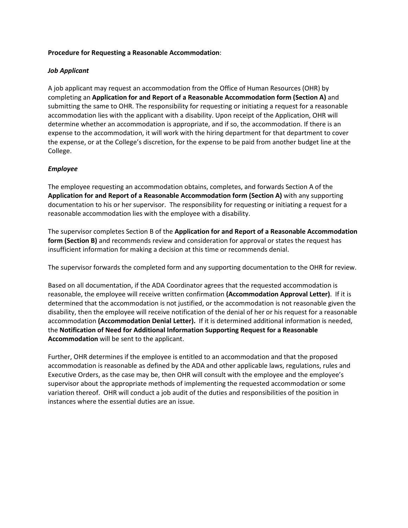## **Procedure for Requesting a Reasonable Accommodation**:

## *Job Applicant*

A job applicant may request an accommodation from the Office of Human Resources (OHR) by completing an **Application for and Report of a Reasonable Accommodation form (Section A)** and submitting the same to OHR. The responsibility for requesting or initiating a request for a reasonable accommodation lies with the applicant with a disability. Upon receipt of the Application, OHR will determine whether an accommodation is appropriate, and if so, the accommodation. If there is an expense to the accommodation, it will work with the hiring department for that department to cover the expense, or at the College's discretion, for the expense to be paid from another budget line at the College.

# *Employee*

The employee requesting an accommodation obtains, completes, and forwards Section A of the **Application for and Report of a Reasonable Accommodation form (Section A)** with any supporting documentation to his or her supervisor. The responsibility for requesting or initiating a request for a reasonable accommodation lies with the employee with a disability.

The supervisor completes Section B of the **Application for and Report of a Reasonable Accommodation form (Section B)** and recommends review and consideration for approval or states the request has insufficient information for making a decision at this time or recommends denial.

The supervisor forwards the completed form and any supporting documentation to the OHR for review.

Based on all documentation, if the ADA Coordinator agrees that the requested accommodation is reasonable, the employee will receive written confirmation **(Accommodation Approval Letter)**. If it is determined that the accommodation is not justified, or the accommodation is not reasonable given the disability, then the employee will receive notification of the denial of her or his request for a reasonable accommodation **(Accommodation Denial Letter).** If it is determined additional information is needed, the **Notification of Need for Additional Information Supporting Request for a Reasonable Accommodation** will be sent to the applicant.

Further, OHR determines if the employee is entitled to an accommodation and that the proposed accommodation is reasonable as defined by the ADA and other applicable laws, regulations, rules and Executive Orders, as the case may be, then OHR will consult with the employee and the employee's supervisor about the appropriate methods of implementing the requested accommodation or some variation thereof. OHR will conduct a job audit of the duties and responsibilities of the position in instances where the essential duties are an issue.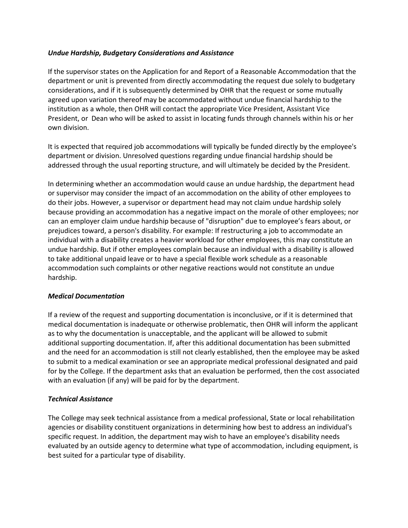# *Undue Hardship, Budgetary Considerations and Assistance*

If the supervisor states on the Application for and Report of a Reasonable Accommodation that the department or unit is prevented from directly accommodating the request due solely to budgetary considerations, and if it is subsequently determined by OHR that the request or some mutually agreed upon variation thereof may be accommodated without undue financial hardship to the institution as a whole, then OHR will contact the appropriate Vice President, Assistant Vice President, or Dean who will be asked to assist in locating funds through channels within his or her own division.

It is expected that required job accommodations will typically be funded directly by the employee's department or division. Unresolved questions regarding undue financial hardship should be addressed through the usual reporting structure, and will ultimately be decided by the President.

In determining whether an accommodation would cause an undue hardship, the department head or supervisor may consider the impact of an accommodation on the ability of other employees to do their jobs. However, a supervisor or department head may not claim undue hardship solely because providing an accommodation has a negative impact on the morale of other employees; nor can an employer claim undue hardship because of "disruption" due to employee's fears about, or prejudices toward, a person's disability. For example: If restructuring a job to accommodate an individual with a disability creates a heavier workload for other employees, this may constitute an undue hardship. But if other employees complain because an individual with a disability is allowed to take additional unpaid leave or to have a special flexible work schedule as a reasonable accommodation such complaints or other negative reactions would not constitute an undue hardship.

# *Medical Documentation*

If a review of the request and supporting documentation is inconclusive, or if it is determined that medical documentation is inadequate or otherwise problematic, then OHR will inform the applicant as to why the documentation is unacceptable, and the applicant will be allowed to submit additional supporting documentation. If, after this additional documentation has been submitted and the need for an accommodation is still not clearly established, then the employee may be asked to submit to a medical examination or see an appropriate medical professional designated and paid for by the College. If the department asks that an evaluation be performed, then the cost associated with an evaluation (if any) will be paid for by the department.

# *Technical Assistance*

The College may seek technical assistance from a medical professional, State or local rehabilitation agencies or disability constituent organizations in determining how best to address an individual's specific request. In addition, the department may wish to have an employee's disability needs evaluated by an outside agency to determine what type of accommodation, including equipment, is best suited for a particular type of disability.